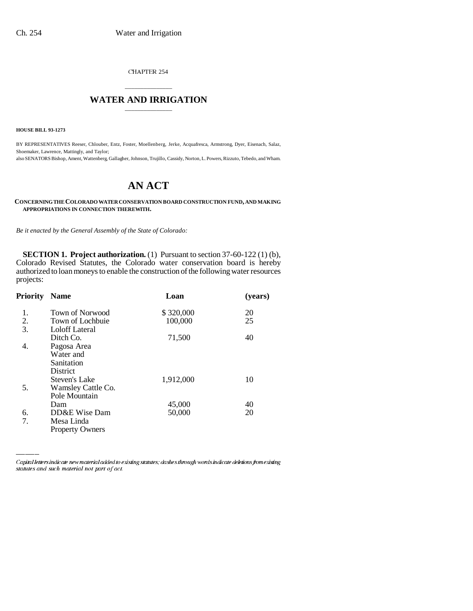CHAPTER 254

## \_\_\_\_\_\_\_\_\_\_\_\_\_\_\_ **WATER AND IRRIGATION** \_\_\_\_\_\_\_\_\_\_\_\_\_\_\_

**HOUSE BILL 93-1273**

BY REPRESENTATIVES Reeser, Chlouber, Entz, Foster, Moellenberg, Jerke, Acquafresca, Armstrong, Dyer, Eisenach, Salaz, Shoemaker, Lawrence, Mattingly, and Taylor; also SENATORS Bishop, Ament, Wattenberg, Gallagher, Johnson, Trujillo, Cassidy, Norton, L. Powers, Rizzuto, Tebedo, and Wham.

# **AN ACT**

#### **CONCERNING THE COLORADO WATER CONSERVATION BOARD CONSTRUCTION FUND, AND MAKING APPROPRIATIONS IN CONNECTION THEREWITH.**

*Be it enacted by the General Assembly of the State of Colorado:*

**SECTION 1. Project authorization.** (1) Pursuant to section 37-60-122 (1) (b), Colorado Revised Statutes, the Colorado water conservation board is hereby authorized to loan moneys to enable the construction of the following water resources projects:

| Priority | <b>Name</b>            | Loan      | (years) |
|----------|------------------------|-----------|---------|
| 1.       | <b>Town of Norwood</b> | \$320,000 | 20      |
| 2.       | Town of Lochbuie       | 100,000   | 25      |
| 3.       | Loloff Lateral         |           |         |
|          | Ditch Co.              | 71,500    | 40      |
| 4.       | Pagosa Area            |           |         |
|          | Water and              |           |         |
|          | Sanitation             |           |         |
|          | <b>District</b>        |           |         |
|          | Steven's Lake          | 1,912,000 | 10      |
| 5.       | Wamsley Cattle Co.     |           |         |
|          | Pole Mountain          |           |         |
|          | Dam                    | 45,000    | 40      |
| 6.       | DD&E Wise Dam          | 50,000    | 20      |
| 7.       | Mesa Linda             |           |         |
|          | <b>Property Owners</b> |           |         |
|          |                        |           |         |

Capital letters indicate new material added to existing statutes; dashes through words indicate deletions from existing statutes and such material not part of act.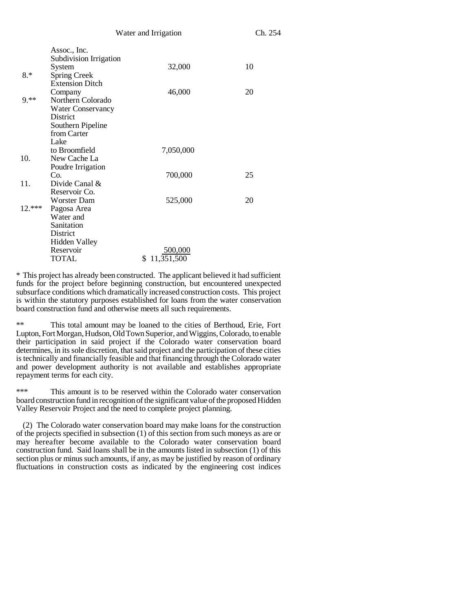|          |                                        | Water and Irrigation | Ch. 254 |  |
|----------|----------------------------------------|----------------------|---------|--|
|          | Assoc., Inc.<br>Subdivision Irrigation |                      |         |  |
|          | System                                 | 32,000               | 10      |  |
| $8.*$    | <b>Spring Creek</b>                    |                      |         |  |
|          | <b>Extension Ditch</b>                 |                      |         |  |
|          | Company                                | 46,000               | 20      |  |
| $9.**$   | Northern Colorado                      |                      |         |  |
|          | <b>Water Conservancy</b>               |                      |         |  |
|          | District                               |                      |         |  |
|          | Southern Pipeline                      |                      |         |  |
|          | from Carter                            |                      |         |  |
|          | Lake                                   |                      |         |  |
|          | to Broomfield                          | 7,050,000            |         |  |
| 10.      | New Cache La                           |                      |         |  |
|          | Poudre Irrigation                      |                      |         |  |
|          | Co.                                    | 700,000              | 25      |  |
| 11.      | Divide Canal &                         |                      |         |  |
|          | Reservoir Co.                          |                      |         |  |
|          | <b>Worster Dam</b>                     | 525,000              | 20      |  |
| $12.***$ | Pagosa Area                            |                      |         |  |
|          | Water and                              |                      |         |  |
|          | Sanitation                             |                      |         |  |
|          | District                               |                      |         |  |
|          | <b>Hidden Valley</b>                   |                      |         |  |
|          | Reservoir                              | 500,000              |         |  |
|          | TOTAL                                  | \$11,351,500         |         |  |

\* This project has already been constructed. The applicant believed it had sufficient funds for the project before beginning construction, but encountered unexpected subsurface conditions which dramatically increased construction costs. This project is within the statutory purposes established for loans from the water conservation board construction fund and otherwise meets all such requirements.

This total amount may be loaned to the cities of Berthoud, Erie, Fort Lupton, Fort Morgan, Hudson, Old Town Superior, and Wiggins, Colorado, to enable their participation in said project if the Colorado water conservation board determines, in its sole discretion, that said project and the participation of these cities is technically and financially feasible and that financing through the Colorado water and power development authority is not available and establishes appropriate repayment terms for each city.

\*\*\* This amount is to be reserved within the Colorado water conservation board construction fund in recognition of the significant value of the proposed Hidden Valley Reservoir Project and the need to complete project planning.

(2) The Colorado water conservation board may make loans for the construction of the projects specified in subsection (1) of this section from such moneys as are or may hereafter become available to the Colorado water conservation board construction fund. Said loans shall be in the amounts listed in subsection (1) of this section plus or minus such amounts, if any, as may be justified by reason of ordinary fluctuations in construction costs as indicated by the engineering cost indices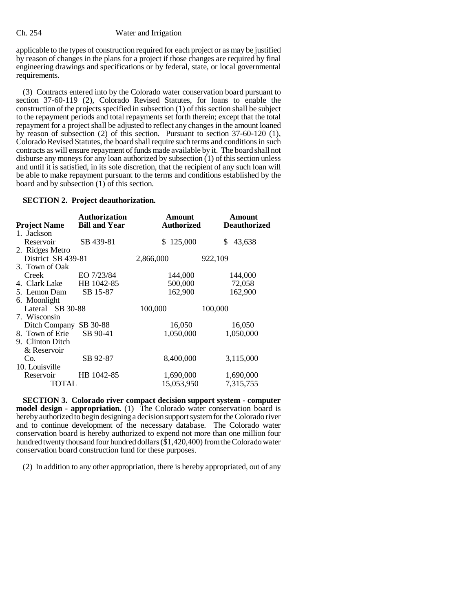### Ch. 254 Water and Irrigation

applicable to the types of construction required for each project or as may be justified by reason of changes in the plans for a project if those changes are required by final engineering drawings and specifications or by federal, state, or local governmental requirements.

(3) Contracts entered into by the Colorado water conservation board pursuant to section 37-60-119 (2), Colorado Revised Statutes, for loans to enable the construction of the projects specified in subsection (1) of this section shall be subject to the repayment periods and total repayments set forth therein; except that the total repayment for a project shall be adjusted to reflect any changes in the amount loaned by reason of subsection (2) of this section. Pursuant to section 37-60-120 (1), Colorado Revised Statutes, the board shall require such terms and conditions in such contracts as will ensure repayment of funds made available by it. The board shall not disburse any moneys for any loan authorized by subsection (1) of this section unless and until it is satisfied, in its sole discretion, that the recipient of any such loan will be able to make repayment pursuant to the terms and conditions established by the board and by subsection (1) of this section.

## **SECTION 2. Project deauthorization.**

| <b>Project Name</b>      | <b>Authorization</b><br><b>Bill and Year</b> | Amount<br><b>Authorized</b> | Amount<br><b>Deauthorized</b> |
|--------------------------|----------------------------------------------|-----------------------------|-------------------------------|
| 1. Jackson               |                                              |                             |                               |
| Reservoir                | SB 439-81                                    | 125,000<br>\$.              | 43,638<br>S                   |
| 2. Ridges Metro          |                                              |                             |                               |
| District SB 439-81       |                                              | 2,866,000                   | 922,109                       |
| 3. Town of Oak           |                                              |                             |                               |
| Creek                    | EO 7/23/84                                   | 144,000                     | 144,000                       |
| 4. Clark Lake HB 1042-85 |                                              | 500,000                     | 72,058                        |
| 5. Lemon Dam             | SB 15-87                                     | 162,900                     | 162,900                       |
| 6. Moonlight             |                                              |                             |                               |
| Lateral SB 30-88         |                                              | 100,000                     | 100,000                       |
| 7. Wisconsin             |                                              |                             |                               |
| Ditch Company            | SB 30-88                                     | 16,050                      | 16,050                        |
| 8. Town of Erie          | SB 90-41                                     | 1,050,000                   | 1,050,000                     |
| 9. Clinton Ditch         |                                              |                             |                               |
| & Reservoir              |                                              |                             |                               |
| Co.                      | SB 92-87                                     | 8,400,000                   | 3,115,000                     |
| 10. Louisville           |                                              |                             |                               |
| Reservoir                | HB 1042-85                                   | 1,690,000                   | 1,690,000                     |
| TOTAL                    |                                              | 15.053.950                  | 7.315.755                     |

**SECTION 3. Colorado river compact decision support system - computer model design - appropriation.** (1) The Colorado water conservation board is hereby authorized to begin designing a decision support system for the Colorado river and to continue development of the necessary database. The Colorado water conservation board is hereby authorized to expend not more than one million four hundred twenty thousand four hundred dollars (\$1,420,400) from the Colorado water conservation board construction fund for these purposes.

(2) In addition to any other appropriation, there is hereby appropriated, out of any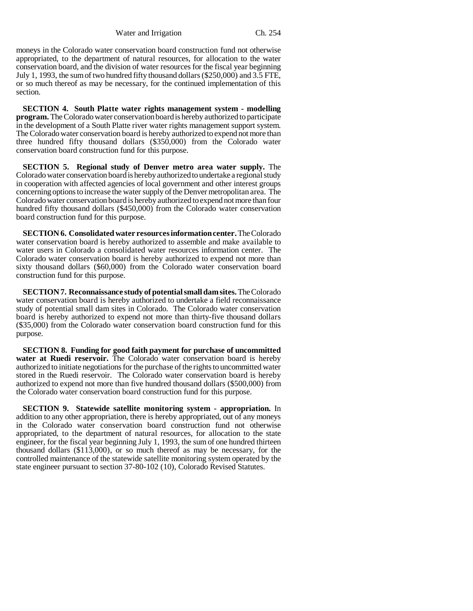Water and Irrigation Ch. 254

moneys in the Colorado water conservation board construction fund not otherwise appropriated, to the department of natural resources, for allocation to the water conservation board, and the division of water resources for the fiscal year beginning July 1, 1993, the sum of two hundred fifty thousand dollars (\$250,000) and 3.5 FTE, or so much thereof as may be necessary, for the continued implementation of this section.

**SECTION 4. South Platte water rights management system - modelling program.** The Colorado water conservation board is hereby authorized to participate in the development of a South Platte river water rights management support system. The Colorado water conservation board is hereby authorized to expend not more than three hundred fifty thousand dollars (\$350,000) from the Colorado water conservation board construction fund for this purpose.

**SECTION 5. Regional study of Denver metro area water supply.** The Colorado water conservation board is hereby authorized to undertake a regional study in cooperation with affected agencies of local government and other interest groups concerning options to increase the water supply of the Denver metropolitan area. The Colorado water conservation board is hereby authorized to expend not more than four hundred fifty thousand dollars (\$450,000) from the Colorado water conservation board construction fund for this purpose.

**SECTION 6. Consolidated water resources information center.** The Colorado water conservation board is hereby authorized to assemble and make available to water users in Colorado a consolidated water resources information center. The Colorado water conservation board is hereby authorized to expend not more than sixty thousand dollars (\$60,000) from the Colorado water conservation board construction fund for this purpose.

**SECTION 7. Reconnaissance study of potential small dam sites.** The Colorado water conservation board is hereby authorized to undertake a field reconnaissance study of potential small dam sites in Colorado. The Colorado water conservation board is hereby authorized to expend not more than thirty-five thousand dollars (\$35,000) from the Colorado water conservation board construction fund for this purpose.

**SECTION 8. Funding for good faith payment for purchase of uncommitted water at Ruedi reservoir.** The Colorado water conservation board is hereby authorized to initiate negotiations for the purchase of the rights to uncommitted water stored in the Ruedi reservoir. The Colorado water conservation board is hereby authorized to expend not more than five hundred thousand dollars (\$500,000) from the Colorado water conservation board construction fund for this purpose.

**SECTION 9. Statewide satellite monitoring system - appropriation.** In addition to any other appropriation, there is hereby appropriated, out of any moneys in the Colorado water conservation board construction fund not otherwise appropriated, to the department of natural resources, for allocation to the state engineer, for the fiscal year beginning July 1, 1993, the sum of one hundred thirteen thousand dollars (\$113,000), or so much thereof as may be necessary, for the controlled maintenance of the statewide satellite monitoring system operated by the state engineer pursuant to section 37-80-102 (10), Colorado Revised Statutes.